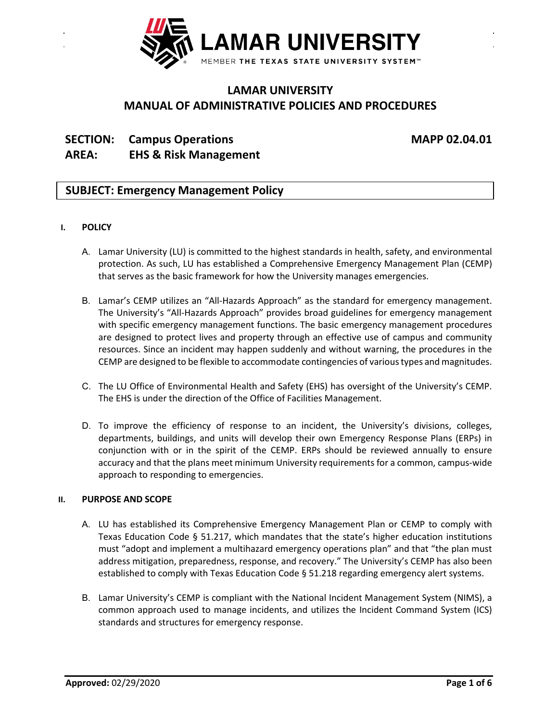

# **LAMAR UNIVERSITY MANUAL OF ADMINISTRATIVE POLICIES AND PROCEDURES**

# **SECTION: Campus Operations MAPP 02.04.01 AREA: EHS & Risk Management**

## **SUBJECT: Emergency Management Policy**

### **I. POLICY**

- A. Lamar University (LU) is committed to the highest standards in health, safety, and environmental protection. As such, LU has established a Comprehensive Emergency Management Plan (CEMP) that serves as the basic framework for how the University manages emergencies.
- B. Lamar's CEMP utilizes an "All-Hazards Approach" as the standard for emergency management. The University's "All-Hazards Approach" provides broad guidelines for emergency management with specific emergency management functions. The basic emergency management procedures are designed to protect lives and property through an effective use of campus and community resources. Since an incident may happen suddenly and without warning, the procedures in the CEMP are designed to be flexible to accommodate contingencies of various types and magnitudes.
- C. The LU Office of Environmental Health and Safety (EHS) has oversight of the University's CEMP. The EHS is under the direction of the Office of Facilities Management.
- D. To improve the efficiency of response to an incident, the University's divisions, colleges, departments, buildings, and units will develop their own Emergency Response Plans (ERPs) in conjunction with or in the spirit of the CEMP. ERPs should be reviewed annually to ensure accuracy and that the plans meet minimum University requirements for a common, campus-wide approach to responding to emergencies.

### **II. PURPOSE AND SCOPE**

- A. LU has established its Comprehensive Emergency Management Plan or CEMP to comply with Texas Education Code § 51.217, which mandates that the state's higher education institutions must "adopt and implement a multihazard emergency operations plan" and that "the plan must address mitigation, preparedness, response, and recovery." The University's CEMP has also been established to comply with Texas Education Code § 51.218 regarding emergency alert systems.
- B. Lamar University's CEMP is compliant with the National Incident Management System (NIMS), a common approach used to manage incidents, and utilizes the Incident Command System (ICS) standards and structures for emergency response.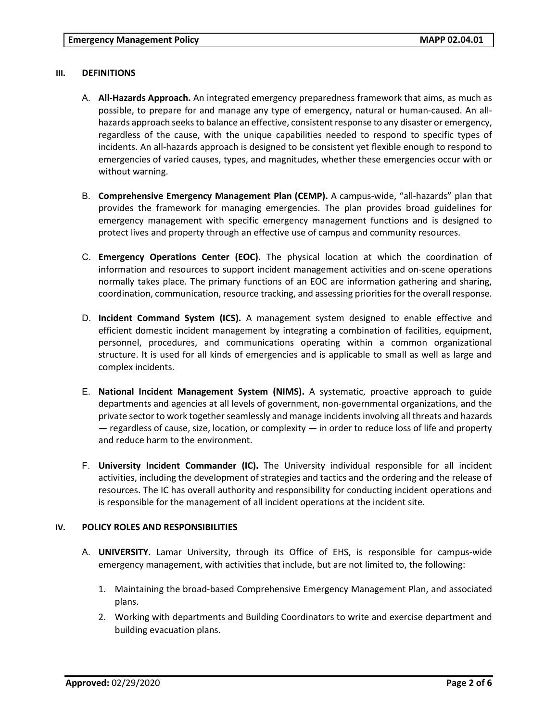#### **III. DEFINITIONS**

- A. **All-Hazards Approach.** An integrated emergency preparedness framework that aims, as much as possible, to prepare for and manage any type of emergency, natural or human-caused. An allhazards approach seeks to balance an effective, consistent response to any disaster or emergency, regardless of the cause, with the unique capabilities needed to respond to specific types of incidents. An all-hazards approach is designed to be consistent yet flexible enough to respond to emergencies of varied causes, types, and magnitudes, whether these emergencies occur with or without warning.
- B. **Comprehensive Emergency Management Plan (CEMP).** A campus-wide, "all-hazards" plan that provides the framework for managing emergencies. The plan provides broad guidelines for emergency management with specific emergency management functions and is designed to protect lives and property through an effective use of campus and community resources.
- C. **Emergency Operations Center (EOC).** The physical location at which the coordination of information and resources to support incident management activities and on-scene operations normally takes place. The primary functions of an EOC are information gathering and sharing, coordination, communication, resource tracking, and assessing priorities for the overall response.
- D. **Incident Command System (ICS).** A management system designed to enable effective and efficient domestic incident management by integrating a combination of facilities, equipment, personnel, procedures, and communications operating within a common organizational structure. It is used for all kinds of emergencies and is applicable to small as well as large and complex incidents.
- E. **National Incident Management System (NIMS).** A systematic, proactive approach to guide departments and agencies at all levels of government, non-governmental organizations, and the private sector to work together seamlessly and manage incidents involving all threats and hazards  $-$  regardless of cause, size, location, or complexity  $-$  in order to reduce loss of life and property and reduce harm to the environment.
- F. **University Incident Commander (IC).** The University individual responsible for all incident activities, including the development of strategies and tactics and the ordering and the release of resources. The IC has overall authority and responsibility for conducting incident operations and is responsible for the management of all incident operations at the incident site.

#### **IV. POLICY ROLES AND RESPONSIBILITIES**

- A. **UNIVERSITY.** Lamar University, through its Office of EHS, is responsible for campus-wide emergency management, with activities that include, but are not limited to, the following:
	- 1. Maintaining the broad-based Comprehensive Emergency Management Plan, and associated plans.
	- 2. Working with departments and Building Coordinators to write and exercise department and building evacuation plans.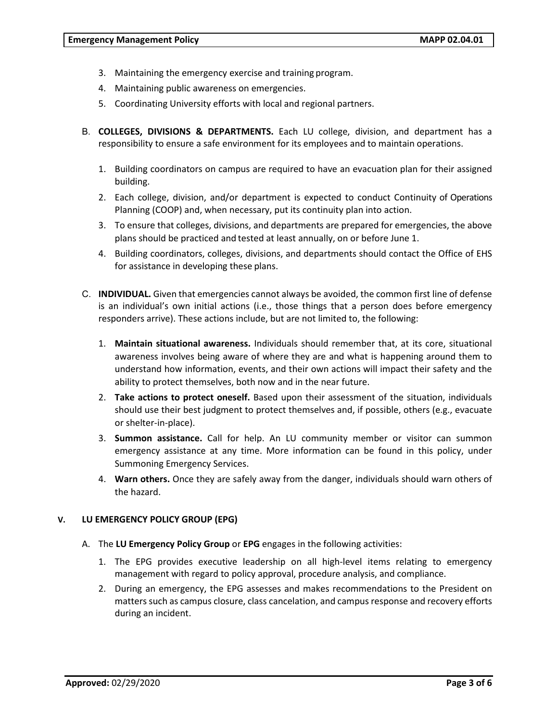- 3. Maintaining the emergency exercise and training program.
- 4. Maintaining public awareness on emergencies.
- 5. Coordinating University efforts with local and regional partners.
- B. **COLLEGES, DIVISIONS & DEPARTMENTS.** Each LU college, division, and department has a responsibility to ensure a safe environment for its employees and to maintain operations.
	- 1. Building coordinators on campus are required to have an evacuation plan for their assigned building.
	- 2. Each college, division, and/or department is expected to conduct Continuity of Operations Planning (COOP) and, when necessary, put its continuity plan into action.
	- 3. To ensure that colleges, divisions, and departments are prepared for emergencies, the above plans should be practiced and tested at least annually, on or before June 1.
	- 4. Building coordinators, colleges, divisions, and departments should contact the Office of EHS for assistance in developing these plans.
- C. **INDIVIDUAL.** Given that emergencies cannot always be avoided, the common first line of defense is an individual's own initial actions (i.e., those things that a person does before emergency responders arrive). These actions include, but are not limited to, the following:
	- 1. **Maintain situational awareness.** Individuals should remember that, at its core, situational awareness involves being aware of where they are and what is happening around them to understand how information, events, and their own actions will impact their safety and the ability to protect themselves, both now and in the near future.
	- 2. **Take actions to protect oneself.** Based upon their assessment of the situation, individuals should use their best judgment to protect themselves and, if possible, others (e.g., evacuate or shelter-in-place).
	- 3. **Summon assistance.** Call for help. An LU community member or visitor can summon emergency assistance at any time. More information can be found in this policy, under Summoning Emergency Services.
	- 4. **Warn others.** Once they are safely away from the danger, individuals should warn others of the hazard.

#### **V. LU EMERGENCY POLICY GROUP (EPG)**

- A. The **LU Emergency Policy Group** or **EPG** engages in the following activities:
	- 1. The EPG provides executive leadership on all high-level items relating to emergency management with regard to policy approval, procedure analysis, and compliance.
	- 2. During an emergency, the EPG assesses and makes recommendations to the President on matters such as campus closure, class cancelation, and campus response and recovery efforts during an incident.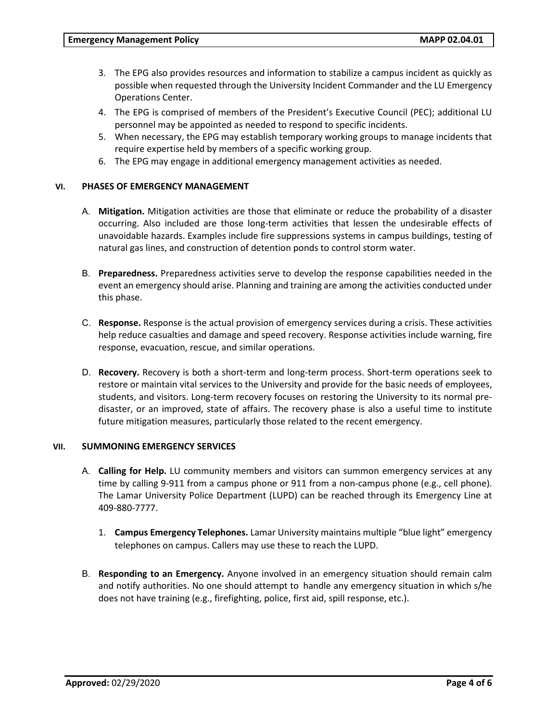- 3. The EPG also provides resources and information to stabilize a campus incident as quickly as possible when requested through the University Incident Commander and the LU Emergency Operations Center.
- 4. The EPG is comprised of members of the President's Executive Council (PEC); additional LU personnel may be appointed as needed to respond to specific incidents.
- 5. When necessary, the EPG may establish temporary working groups to manage incidents that require expertise held by members of a specific working group.
- 6. The EPG may engage in additional emergency management activities as needed.

#### **VI. PHASES OF EMERGENCY MANAGEMENT**

- A. **Mitigation.** Mitigation activities are those that eliminate or reduce the probability of a disaster occurring. Also included are those long-term activities that lessen the undesirable effects of unavoidable hazards. Examples include fire suppressions systems in campus buildings, testing of natural gas lines, and construction of detention ponds to control storm water.
- B. **Preparedness.** Preparedness activities serve to develop the response capabilities needed in the event an emergency should arise. Planning and training are among the activities conducted under this phase.
- C. **Response.** Response is the actual provision of emergency services during a crisis. These activities help reduce casualties and damage and speed recovery. Response activities include warning, fire response, evacuation, rescue, and similar operations.
- D. **Recovery.** Recovery is both a short-term and long-term process. Short-term operations seek to restore or maintain vital services to the University and provide for the basic needs of employees, students, and visitors. Long-term recovery focuses on restoring the University to its normal predisaster, or an improved, state of affairs. The recovery phase is also a useful time to institute future mitigation measures, particularly those related to the recent emergency.

#### **VII. SUMMONING EMERGENCY SERVICES**

- A. **Calling for Help.** LU community members and visitors can summon emergency services at any time by calling 9-911 from a campus phone or 911 from a non-campus phone (e.g., cell phone). The Lamar University Police Department (LUPD) can be reached through its Emergency Line at 409-880-7777.
	- 1. **Campus Emergency Telephones.** Lamar University maintains multiple "blue light" emergency telephones on campus. Callers may use these to reach the LUPD.
- B. **Responding to an Emergency.** Anyone involved in an emergency situation should remain calm and notify authorities. No one should attempt to handle any emergency situation in which s/he does not have training (e.g., firefighting, police, first aid, spill response, etc.).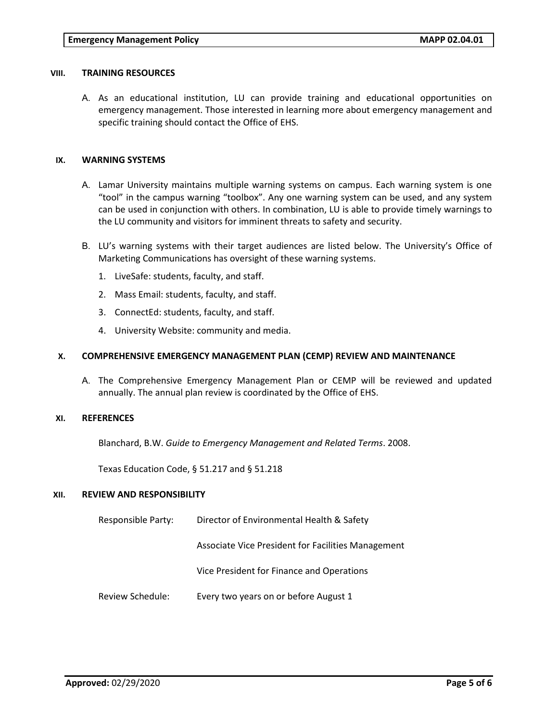#### **VIII. TRAINING RESOURCES**

A. As an educational institution, LU can provide training and educational opportunities on emergency management. Those interested in learning more about emergency management and specific training should contact the Office of EHS.

### **IX. WARNING SYSTEMS**

- A. Lamar University maintains multiple warning systems on campus. Each warning system is one "tool" in the campus warning "toolbox". Any one warning system can be used, and any system can be used in conjunction with others. In combination, LU is able to provide timely warnings to the LU community and visitors for imminent threats to safety and security.
- B. LU's warning systems with their target audiences are listed below. The University's Office of Marketing Communications has oversight of these warning systems.
	- 1. LiveSafe: students, faculty, and staff.
	- 2. Mass Email: students, faculty, and staff.
	- 3. ConnectEd: students, faculty, and staff.
	- 4. University Website: community and media.

#### **X. COMPREHENSIVE EMERGENCY MANAGEMENT PLAN (CEMP) REVIEW AND MAINTENANCE**

A. The Comprehensive Emergency Management Plan or CEMP will be reviewed and updated annually. The annual plan review is coordinated by the Office of EHS.

#### **XI. REFERENCES**

Blanchard, B.W. *Guide to Emergency Management and Related Terms*. 2008.

Texas Education Code, § 51.217 and § 51.218

#### **XII. REVIEW AND RESPONSIBILITY**

Responsible Party: Director of Environmental Health & Safety

Associate Vice President for Facilities Management

Vice President for Finance and Operations

Review Schedule: Every two years on or before August 1